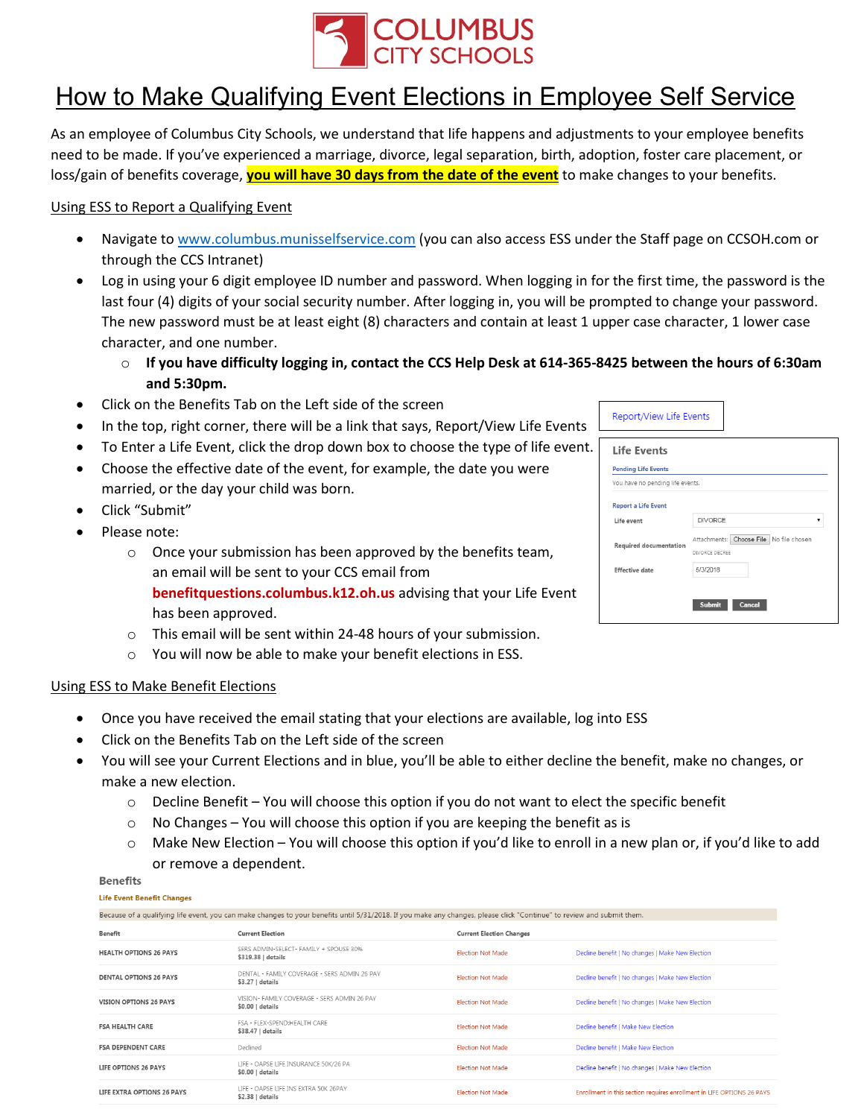

## How to Make Qualifying Event Elections in Employee Self Service

As an employee of Columbus City Schools, we understand that life happens and adjustments to your employee benefits need to be made. If you've experienced a marriage, divorce, legal separation, birth, adoption, foster care placement, or loss/gain of benefits coverage, **you will have 30 days from the date of the event** to make changes to your benefits.

## Using ESS to Report a Qualifying Event

- Navigate to [www.columbus.munisselfservice.com](http://www.columbus.munisselfservice.com/) (you can also access ESS under the Staff page on CCSOH.com or through the CCS Intranet)
- Log in using your 6 digit employee ID number and password. When logging in for the first time, the password is the last four (4) digits of your social security number. After logging in, you will be prompted to change your password. The new password must be at least eight (8) characters and contain at least 1 upper case character, 1 lower case character, and one number.
	- o **If you have difficulty logging in, contact the CCS Help Desk at 614-365-8425 between the hours of 6:30am and 5:30pm.**
- Click on the Benefits Tab on the Left side of the screen
- In the top, right corner, there will be a link that says, Report/View Life Events
- To Enter a Life Event, click the drop down box to choose the type of life event.
- Choose the effective date of the event, for example, the date you were married, or the day your child was born.
- Click "Submit"
- Please note:
	- o Once your submission has been approved by the benefits team, an email will be sent to your CCS email from **benefitquestions.columbus.k12.oh.us** advising that your Life Event has been approved.
	- o This email will be sent within 24-48 hours of your submission.
	- o You will now be able to make your benefit elections in ESS.

## Using ESS to Make Benefit Elections

- Once you have received the email stating that your elections are available, log into ESS
- Click on the Benefits Tab on the Left side of the screen
- You will see your Current Elections and in blue, you'll be able to either decline the benefit, make no changes, or make a new election.
	- $\circ$  Decline Benefit You will choose this option if you do not want to elect the specific benefit
	- $\circ$  No Changes You will choose this option if you are keeping the benefit as is
	- $\circ$  Make New Election You will choose this option if you'd like to enroll in a new plan or, if you'd like to add or remove a dependent.

## **Benefits**

**Life Event Benefit Changes** 

| Because of a qualifying life event, you can make changes to your benefits until 5/31/2018. If you make any changes, please click "Continue" to review and submit them. |                                                                  |                                 |                                                                        |
|------------------------------------------------------------------------------------------------------------------------------------------------------------------------|------------------------------------------------------------------|---------------------------------|------------------------------------------------------------------------|
| <b>Benefit</b>                                                                                                                                                         | <b>Current Election</b>                                          | <b>Current Election Changes</b> |                                                                        |
| <b>HEALTH OPTIONS 26 PAYS</b>                                                                                                                                          | SERS ADMIN-SELECT- FAMILY + SPOUSE 30%<br>\$319.38   details     | <b>Election Not Made</b>        | Decline benefit   No changes   Make New Election                       |
| <b>DENTAL OPTIONS 26 PAYS</b>                                                                                                                                          | DENTAL - FAMILY COVERAGE - SERS ADMIN 26 PAY<br>\$3.27   details | <b>Election Not Made</b>        | Decline benefit   No changes   Make New Election                       |
| <b>VISION OPTIONS 26 PAYS</b>                                                                                                                                          | VISION- FAMILY COVERAGE - SERS ADMIN 26 PAY<br>$$0.00$   details | <b>Election Not Made</b>        | Decline benefit   No changes   Make New Election                       |
| <b>FSA HEALTH CARE</b>                                                                                                                                                 | FSA - FLEX-SPEND:HEALTH CARE<br>\$38.47   details                | <b>Flection Not Made</b>        | Decline benefit   Make New Election                                    |
| <b>FSA DEPENDENT CARE</b>                                                                                                                                              | Declined                                                         | <b>Election Not Made</b>        | Decline benefit   Make New Election                                    |
| LIFE OPTIONS 26 PAYS                                                                                                                                                   | LIFE - OAPSE LIFE INSURANCE 50K/26 PA<br>$$0.00$   details       | <b>Election Not Made</b>        | Decline benefit   No changes   Make New Election                       |
| LIFE EXTRA OPTIONS 26 PAYS                                                                                                                                             | LIFE - OAPSE LIFE INS EXTRA 50K 26PAY<br>$$2.38$   details       | <b>Election Not Made</b>        | Enrollment in this section requires enrollment in LIFE OPTIONS 26 PAYS |

| Report/View Life Events                                        |                                                           |  |  |
|----------------------------------------------------------------|-----------------------------------------------------------|--|--|
| <b>Life Events</b>                                             |                                                           |  |  |
| <b>Pending Life Events</b><br>You have no pending life events. |                                                           |  |  |
| <b>Report a Life Event</b>                                     |                                                           |  |  |
| life event                                                     | <b>DIVORCE</b>                                            |  |  |
| Required documentation                                         | Attachments: Choose File No file chosen<br>DIVORCE DECREE |  |  |
| Effective date                                                 | 5/3/2018                                                  |  |  |
|                                                                | <b>Submit</b><br>Cancel                                   |  |  |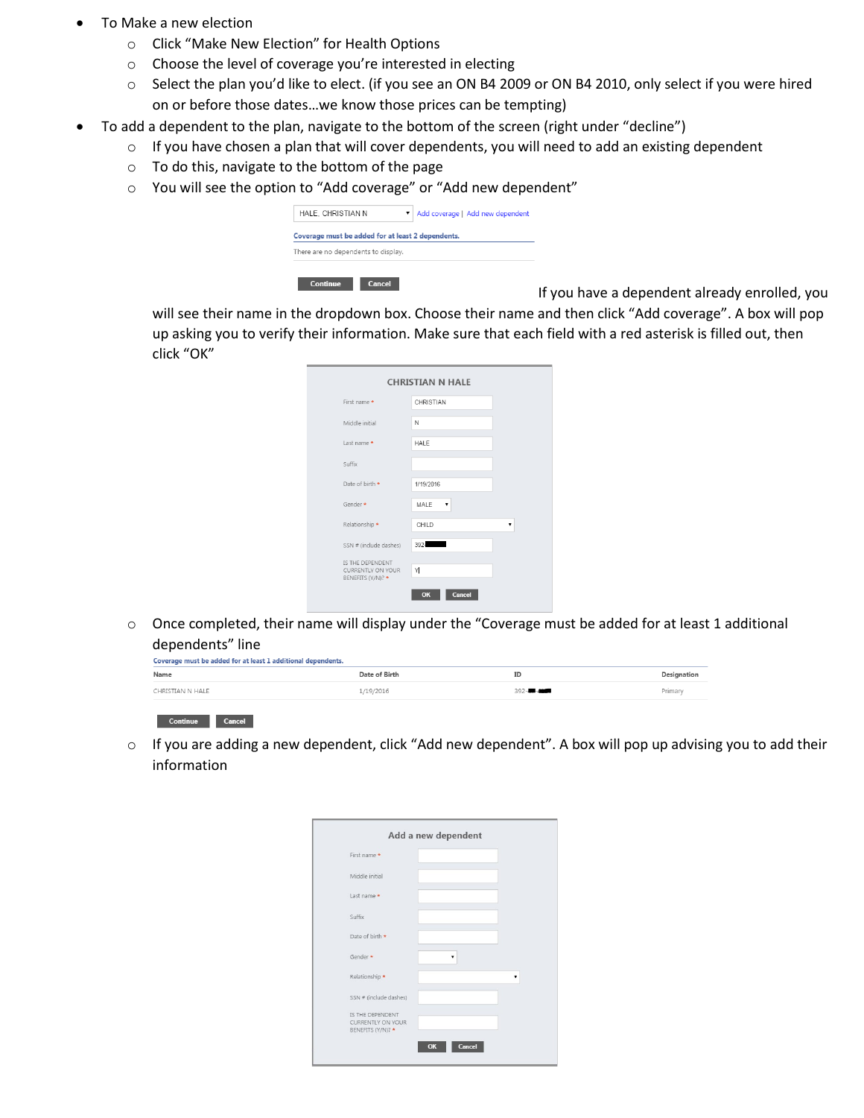- To Make a new election
	- o Click "Make New Election" for Health Options
	- o Choose the level of coverage you're interested in electing
	- o Select the plan you'd like to elect. (if you see an ON B4 2009 or ON B4 2010, only select if you were hired on or before those dates…we know those prices can be tempting)
	- To add a dependent to the plan, navigate to the bottom of the screen (right under "decline")
		- o If you have chosen a plan that will cover dependents, you will need to add an existing dependent
		- o To do this, navigate to the bottom of the page
		- o You will see the option to "Add coverage" or "Add new dependent"

| HALE. CHRISTIAN N                                 | Add coverage   Add new dependent |
|---------------------------------------------------|----------------------------------|
| Coverage must be added for at least 2 dependents. |                                  |
| There are no dependents to display.               |                                  |

**If you have a dependent already enrolled, you** 

will see their name in the dropdown box. Choose their name and then click "Add coverage". A box will pop up asking you to verify their information. Make sure that each field with a red asterisk is filled out, then click "OK"

| <b>CHRISTIAN N HALE</b>                                    |              |  |
|------------------------------------------------------------|--------------|--|
| First name *                                               | CHRISTIAN    |  |
| Middle initial                                             | N            |  |
| Last name *                                                | HALE         |  |
| Suffix                                                     |              |  |
| Date of birth *                                            | 1/19/2016    |  |
| Gender *                                                   | MALE         |  |
| Relationship *                                             | CHILD        |  |
| SSN # (include dashes)                                     | 392-         |  |
| IS THE DEPENDENT<br>CURRENTLY ON YOUR<br>BENEFITS (Y/N)? * | Y            |  |
|                                                            | Cancel<br>OK |  |

 $\circ$  Once completed, their name will display under the "Coverage must be added for at least 1 additional dependents" line

| Coverage must be added for at least 1 additional dependents. |               |            |             |
|--------------------------------------------------------------|---------------|------------|-------------|
| Name                                                         | Date of Birth | ID         | Designation |
| CHRISTIAN N HALE                                             | 1/19/2016     | $392 - 44$ | Primary     |
|                                                              |               |            |             |

Continue Cancel

o If you are adding a new dependent, click "Add new dependent". A box will pop up advising you to add their information

| Add a new dependent                                               |              |  |
|-------------------------------------------------------------------|--------------|--|
| First name *                                                      |              |  |
| Middle initial                                                    |              |  |
| Last name *                                                       |              |  |
| Suffix                                                            |              |  |
| Date of birth *                                                   |              |  |
| Gender *                                                          |              |  |
| Relationship *                                                    |              |  |
| SSN # (include dashes)                                            |              |  |
| IS THE DEPENDENT<br><b>CURRENTLY ON YOUR</b><br>BENEFITS (Y/N)? * |              |  |
|                                                                   | Cancel<br>OK |  |